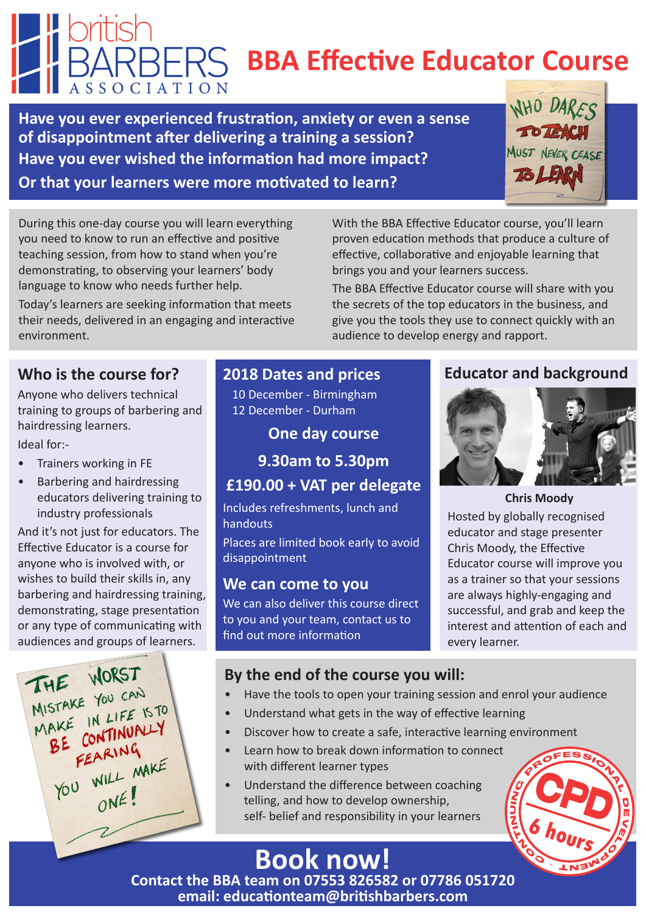# **BBA Effective Educator Course**

With the BBA Effective Educator course, you'll learn proven education methods that produce a culture of effective, collaborative and enjoyable learning that

The BBA Effective Educator course will share with you the secrets of the top educators in the business, and give you the tools they use to connect quickly with an

brings you and your learners success.

audience to develop energy and rapport.

**Have you ever experienced frustration, anxiety or even a sense of disappointment after delivering a training a session? Have you ever wished the information had more impact? Or that your learners were more motivated to learn?** 



During this one-day course you will learn everything you need to know to run an effective and positive teaching session, from how to stand when you're demonstrating, to observing your learners' body language to know who needs further help.

Today's learners are seeking information that meets their needs, delivered in an engaging and interactive environment.

## **Who is the course for?**

Anyone who delivers technical training to groups of barbering and hairdressing learners.

Ideal for:-

- Trainers working in FE
- Barbering and hairdressing educators delivering training to industry professionals

And it's not just for educators. The Effective Educator is a course for anyone who is involved with, or wishes to build their skills in, any barbering and hairdressing training, demonstrating, stage presentation or any type of communicating with audiences and groups of learners.



## **2018 Dates and prices**

10 December - Birmingham 12 December - Durham

**One day course**

**9.30am to 5.30pm**

## **£190.00 + VAT per delegate**

Includes refreshments, lunch and handouts

Places are limited book early to avoid disappointment

#### **We can come to you**

We can also deliver this course direct to you and your team, contact us to find out more information

#### **Educator and background**



**Chris Moody**

Hosted by globally recognised educator and stage presenter Chris Moody, the Effective Educator course will improve you as a trainer so that your sessions are always highly-engaging and successful, and grab and keep the interest and attention of each and every learner.

## **By the end of the course you will:**

- Have the tools to open your training session and enrol your audience
- Understand what gets in the way of effective learning
- Discover how to create a safe, interactive learning environment
- Learn how to break down information to connect with different learner types
- Understand the difference between coaching telling, and how to develop ownership, self- belief and responsibility in your learners



## **Book now!**

**Contact the BBA team on 07553 826582 or 07786 051720 email: educationteam@britishbarbers.com**